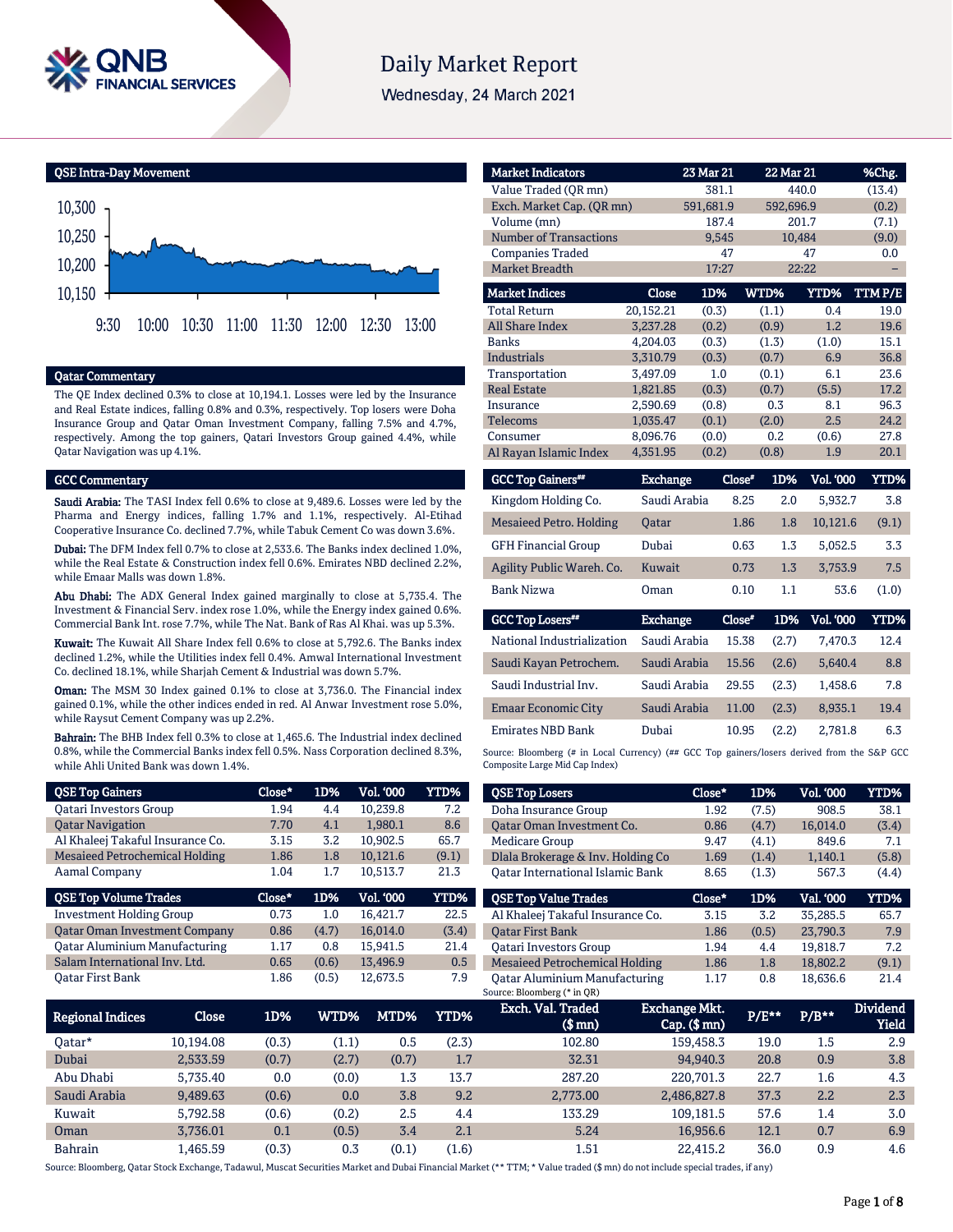

# **Daily Market Report**

Wednesday, 24 March 2021



# Qatar Commentary

The QE Index declined 0.3% to close at 10,194.1. Losses were led by the Insurance and Real Estate indices, falling 0.8% and 0.3%, respectively. Top losers were Doha Insurance Group and Qatar Oman Investment Company, falling 7.5% and 4.7%, respectively. Among the top gainers, Qatari Investors Group gained 4.4%, while Qatar Navigation was up 4.1%.

9:30 10:00 10:30 11:00 11:30 12:00 12:30 13:00

#### GCC Commentary

Saudi Arabia: The TASI Index fell 0.6% to close at 9,489.6. Losses were led by the Pharma and Energy indices, falling 1.7% and 1.1%, respectively. Al-Etihad Cooperative Insurance Co. declined 7.7%, while Tabuk Cement Co was down 3.6%.

Dubai: The DFM Index fell 0.7% to close at 2,533.6. The Banks index declined 1.0%, while the Real Estate & Construction index fell 0.6%. Emirates NBD declined 2.2%, while Emaar Malls was down 1.8%.

Abu Dhabi: The ADX General Index gained marginally to close at 5,735.4. The Investment & Financial Serv. index rose 1.0%, while the Energy index gained 0.6%. Commercial Bank Int. rose 7.7%, while The Nat. Bank of Ras Al Khai. was up 5.3%.

Kuwait: The Kuwait All Share Index fell 0.6% to close at 5,792.6. The Banks index declined 1.2%, while the Utilities index fell 0.4%. Amwal International Investment Co. declined 18.1%, while Sharjah Cement & Industrial was down 5.7%.

Oman: The MSM 30 Index gained 0.1% to close at 3,736.0. The Financial index gained 0.1%, while the other indices ended in red. Al Anwar Investment rose 5.0%, while Raysut Cement Company was up 2.2%.

Bahrain: The BHB Index fell 0.3% to close at 1,465.6. The Industrial index declined 0.8%, while the Commercial Banks index fell 0.5%. Nass Corporation declined 8.3%, while Ahli United Bank was down 1.4%.

| <b>QSE Top Gainers</b>               | Close* | 1D%   | <b>Vol. '000</b> | <b>YTD%</b> |
|--------------------------------------|--------|-------|------------------|-------------|
| <b>Oatari Investors Group</b>        | 1.94   | 4.4   | 10,239.8         | 7.2         |
| <b>Oatar Navigation</b>              | 7.70   | 4.1   | 1,980.1          | 8.6         |
| Al Khaleej Takaful Insurance Co.     | 3.15   | 3.2   | 10,902.5         | 65.7        |
| Mesaieed Petrochemical Holding       | 1.86   | 1.8   | 10,121.6         | (9.1)       |
| Aamal Company                        | 1.04   | 1.7   | 10,513.7         | 21.3        |
|                                      |        |       |                  |             |
| <b>QSE Top Volume Trades</b>         | Close* | 1D%   | <b>Vol. '000</b> | <b>YTD%</b> |
| <b>Investment Holding Group</b>      | 0.73   | 1.0   | 16.421.7         | 22.5        |
| <b>Qatar Oman Investment Company</b> | 0.86   | (4.7) | 16.014.0         | (3.4)       |
| <b>Qatar Aluminium Manufacturing</b> | 1.17   | 0.8   | 15.941.5         | 21.4        |
| Salam International Inv. Ltd.        | 0.65   | (0.6) | 13.496.9         | 0.5         |

| <b>Market Indicators</b>      |           | 23 Mar 21 | 22 Mar 21 |             | %Chg.  |
|-------------------------------|-----------|-----------|-----------|-------------|--------|
| Value Traded (OR mn)          |           | 381.1     |           | 440.0       |        |
| Exch. Market Cap. (QR mn)     |           | 591,681.9 | 592,696.9 |             | (0.2)  |
| Volume (mn)                   |           | 187.4     |           | 201.7       | (7.1)  |
| <b>Number of Transactions</b> |           | 9,545     |           | 10,484      | (9.0)  |
| <b>Companies Traded</b>       |           | 47        |           | 47          | 0.0    |
| <b>Market Breadth</b>         |           | 17:27     |           | 22:22       |        |
| <b>Market Indices</b>         | Close     | 1D%       | WTD%      | <b>YTD%</b> | TTMP/E |
| <b>Total Return</b>           | 20,152.21 | (0.3)     | (1.1)     | 0.4         | 19.0   |
| <b>All Share Index</b>        | 3,237.28  | (0.2)     | (0.9)     | 1.2         | 19.6   |
| <b>Banks</b>                  | 4,204.03  | (0.3)     | (1.3)     | (1.0)       | 15.1   |
| <b>Industrials</b>            | 3,310.79  | (0.3)     | (0.7)     | 6.9         | 36.8   |
| Transportation                | 3,497.09  | 1.0       | (0.1)     | 6.1         | 23.6   |
| <b>Real Estate</b>            | 1,821.85  | (0.3)     | (0.7)     | (5.5)       | 17.2   |
| Insurance                     | 2,590.69  | (0.8)     | 0.3       | 8.1         | 96.3   |
| <b>Telecoms</b>               | 1,035.47  | (0.1)     | (2.0)     | 2.5         | 24.2   |
| Consumer                      | 8,096.76  | (0.0)     | 0.2       | (0.6)       | 27.8   |
| Al Rayan Islamic Index        | 4,351.95  | (0.2)     | (0.8)     | 1.9         | 20.1   |
|                               |           |           |           |             |        |

| <b>GCC Top Gainers**</b>   | <b>Exchange</b> | Close" | 1D% | <b>Vol. '000</b> | YTD%  |
|----------------------------|-----------------|--------|-----|------------------|-------|
| Kingdom Holding Co.        | Saudi Arabia    | 8.25   | 2.0 | 5.932.7          | 3.8   |
| Mesaieed Petro. Holding    | <b>Oatar</b>    | 1.86   | 1.8 | 10.121.6         | (9.1) |
| <b>GFH Financial Group</b> | Dubai           | 0.63   | 1.3 | 5.052.5          | 3.3   |
| Agility Public Wareh. Co.  | Kuwait          | 0.73   | 1.3 | 3.753.9          | 7.5   |
| Bank Nizwa                 | Oman            | 0.10   | 1.1 | 53.6             | (1.0) |
|                            |                 |        |     |                  |       |

| <b>GCC Top Losers**</b>    | <b>Exchange</b> | Close* | 1D%   | Vol. '000 | YTD% |
|----------------------------|-----------------|--------|-------|-----------|------|
| National Industrialization | Saudi Arabia    | 15.38  | (2.7) | 7.470.3   | 12.4 |
| Saudi Kayan Petrochem.     | Saudi Arabia    | 15.56  | (2.6) | 5.640.4   | 8.8  |
| Saudi Industrial Inv.      | Saudi Arabia    | 29.55  | (2.3) | 1.458.6   | 7.8  |
| <b>Emaar Economic City</b> | Saudi Arabia    | 11.00  | (2.3) | 8.935.1   | 19.4 |
| <b>Emirates NBD Bank</b>   | Dubai           | 10.95  | (2.2) | 2.781.8   | 6.3  |

Source: Bloomberg (# in Local Currency) (## GCC Top gainers/losers derived from the S&P GCC Composite Large Mid Cap Index)

| <b>QSE Top Losers</b>                   | Close* | 1D%   | <b>Vol. '000</b> | <b>YTD%</b> |
|-----------------------------------------|--------|-------|------------------|-------------|
| Doha Insurance Group                    | 1.92   | (7.5) | 908.5            | 38.1        |
| Oatar Oman Investment Co.               | 0.86   | (4.7) | 16.014.0         | (3.4)       |
| Medicare Group                          | 9.47   | (4.1) | 849.6            | 7.1         |
| Dlala Brokerage & Inv. Holding Co       | 1.69   | (1.4) | 1.140.1          | (5.8)       |
| <b>Oatar International Islamic Bank</b> | 8.65   | (1.3) | 567.3            | (4.4)       |
|                                         |        |       |                  |             |
| <b>QSE Top Value Trades</b>             | Close* | 1D%   | Val. '000        | <b>YTD%</b> |
| Al Khaleej Takaful Insurance Co.        | 3.15   | 3.2   | 35.285.5         | 65.7        |
| <b>Oatar First Bank</b>                 | 1.86   | (0.5) | 23,790.3         | 7.9         |
| <b>Oatari Investors Group</b>           | 1.94   | 4.4   | 19.818.7         | 7.2         |
| Mesaieed Petrochemical Holding          | 1.86   | 1.8   | 18.802.2         | (9.1)       |

| Regional Indices | Close     | 1D%   | <b>WTD%</b> | MTD%' | YTD%  | Exch. Val. Traded<br>(\$ mn) | <b>Exchange Mkt.</b><br>$Cap.$ (\$ mn) | P/E** | $P/B***$ | <b>Dividend</b><br><b>Yield</b> |
|------------------|-----------|-------|-------------|-------|-------|------------------------------|----------------------------------------|-------|----------|---------------------------------|
| 0atar*           | 10.194.08 | (0.3) | (1.1)       | 0.5   | (2.3) | 102.80                       | 159,458.3                              | 19.0  | 1.5      | 2.9                             |
| Dubai            | 2.533.59  | (0.7) | (2.7)       | (0.7) | 1.7   | 32.31                        | 94.940.3                               | 20.8  | 0.9      | 3.8                             |
| Abu Dhabi        | 5.735.40  | 0.0   | (0.0)       | 1.3   | 13.7  | 287.20                       | 220.701.3                              | 22.7  | 1.6      | 4.3                             |
| Saudi Arabia     | 9.489.63  | (0.6) | 0.0         | 3.8   | 9.2   | 2,773.00                     | 2,486,827.8                            | 37.3  | 2.2      | 2.3                             |
| Kuwait           | 5.792.58  | (0.6) | (0.2)       | 2.5   | 4.4   | 133.29                       | 109.181.5                              | 57.6  | 1.4      | 3.0                             |
| Oman             | 3.736.01  | 0.1   | (0.5)       | 3.4   | 2.1   | 5.24                         | 16.956.6                               | 12.1  | 0.7      | 6.9                             |
| Bahrain          | .465.59   | (0.3) | 0.3         | (0.1) | (1.6) | 1.51                         | 22.415.2                               | 36.0  | 0.9      | 4.6                             |

Source: Bloomberg, Qatar Stock Exchange, Tadawul, Muscat Securities Market and Dubai Financial Market (\*\* TTM; \* Value traded (\$ mn) do not include special trades, if any)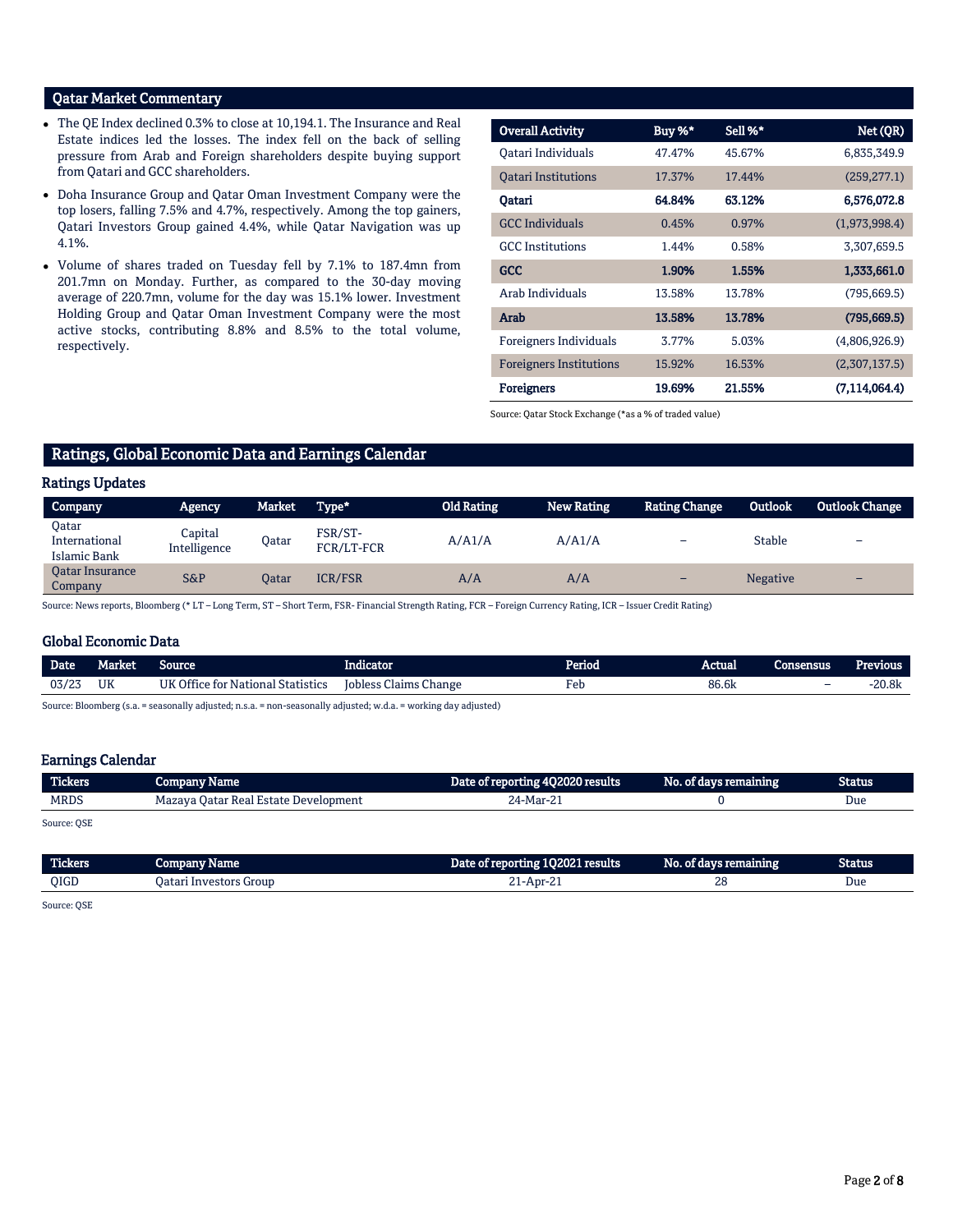# Qatar Market Commentary

- The QE Index declined 0.3% to close at 10,194.1. The Insurance and Real Estate indices led the losses. The index fell on the back of selling pressure from Arab and Foreign shareholders despite buying support from Qatari and GCC shareholders.
- Doha Insurance Group and Qatar Oman Investment Company were the top losers, falling 7.5% and 4.7%, respectively. Among the top gainers, Qatari Investors Group gained 4.4%, while Qatar Navigation was up 4.1%.
- Volume of shares traded on Tuesday fell by 7.1% to 187.4mn from 201.7mn on Monday. Further, as compared to the 30-day moving average of 220.7mn, volume for the day was 15.1% lower. Investment Holding Group and Qatar Oman Investment Company were the most active stocks, contributing 8.8% and 8.5% to the total volume, respectively.

| <b>Overall Activity</b>        | Buy %* | Sell %* | Net (QR)      |
|--------------------------------|--------|---------|---------------|
| Oatari Individuals             | 47.47% | 45.67%  | 6,835,349.9   |
| <b>Oatari Institutions</b>     | 17.37% | 17.44%  | (259, 277.1)  |
| Qatari                         | 64.84% | 63.12%  | 6,576,072.8   |
| <b>GCC</b> Individuals         | 0.45%  | 0.97%   | (1,973,998.4) |
| <b>GCC</b> Institutions        | 1.44%  | 0.58%   | 3,307,659.5   |
| <b>GCC</b>                     | 1.90%  | 1.55%   | 1,333,661.0   |
| Arab Individuals               | 13.58% | 13.78%  | (795, 669.5)  |
| Arab                           | 13.58% | 13.78%  | (795, 669.5)  |
| Foreigners Individuals         | 3.77%  | 5.03%   | (4,806,926.9) |
| <b>Foreigners Institutions</b> | 15.92% | 16.53%  | (2,307,137.5) |
| <b>Foreigners</b>              | 19.69% | 21.55%  | (7.114.064.4) |

Source: Qatar Stock Exchange (\*as a % of traded value)

# Ratings, Global Economic Data and Earnings Calendar

# Ratings Updates

| <b>Company</b>                         | Agency                  | Market | Type*                 | <b>Old Rating</b> | <b>New Rating</b> | <b>Rating Change</b> | Outlook         | <b>Outlook Change</b>    |
|----------------------------------------|-------------------------|--------|-----------------------|-------------------|-------------------|----------------------|-----------------|--------------------------|
| Oatar<br>International<br>Islamic Bank | Capital<br>Intelligence | Oatar  | FSR/ST-<br>FCR/LT-FCR | A/A1/A            | A/ A1/A           | -                    | <b>Stable</b>   | $\overline{\phantom{0}}$ |
| <b>Oatar Insurance</b><br>Company      | <b>S&amp;P</b>          | Oatar  | <b>ICR/FSR</b>        | A/A               | A/A               | -                    | <b>Negative</b> | -                        |

Source: News reports, Bloomberg (\* LT – Long Term, ST – Short Term, FSR- Financial Strength Rating, FCR – Foreign Currency Rating, ICR – Issuer Credit Rating)

### Global Economic Data

| <b>Date</b> | Market | source                                               | <br>Indicator                     | Period      | Actual<br>Consensus |   | <b>Previous</b> |
|-------------|--------|------------------------------------------------------|-----------------------------------|-------------|---------------------|---|-----------------|
| 03/23       | UK     | <b>IIK Office for</b><br>l Statistics<br>r Nafional. | <b>Iobless Claims</b><br>. Change | Feb<br>$ -$ | 86.6k               | - | 20.8k           |
|             |        |                                                      |                                   |             |                     |   |                 |

Source: Bloomberg (s.a. = seasonally adjusted; n.s.a. = non-seasonally adjusted; w.d.a. = working day adjusted)

# Earnings Calendar

| <b>Tickers</b>                 | Company Name                         | Date of reporting 4Q2020 results | No. of days remaining | Status |
|--------------------------------|--------------------------------------|----------------------------------|-----------------------|--------|
| <b>MRDS</b>                    | Mazaya Qatar Real Estate Development | 24-Mar-21                        |                       | Due    |
| $\sim$ $\sim$<br>$\sim$ $\sim$ |                                      |                                  |                       |        |

Source: QSE

| Tickers | company<br><b>Name</b>                      | 102021 results<br>Date on tenorme. | No.<br>or gavs re<br>remanne | <b>Status</b> |
|---------|---------------------------------------------|------------------------------------|------------------------------|---------------|
| OIGD    | , Investor <sup>,</sup><br>: Group<br>Jatar | I-Apr-2                            | $\mathbf{a}$<br>40           | Due           |
|         |                                             |                                    |                              |               |

Source: QSE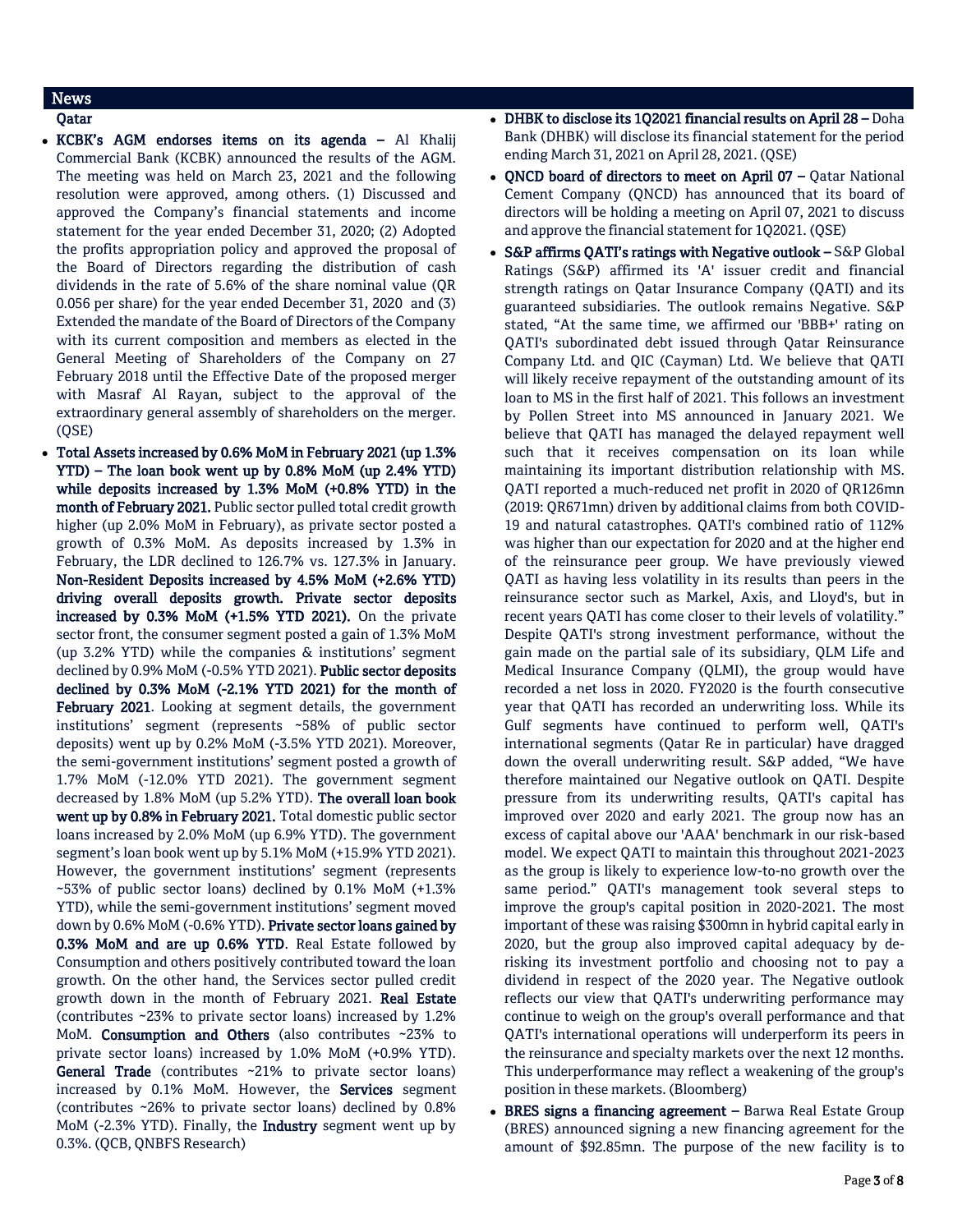# News

- Qatar
- KCBK's AGM endorses items on its agenda Al Khalij Commercial Bank (KCBK) announced the results of the AGM. The meeting was held on March 23, 2021 and the following resolution were approved, among others. (1) Discussed and approved the Company's financial statements and income statement for the year ended December 31, 2020; (2) Adopted the profits appropriation policy and approved the proposal of the Board of Directors regarding the distribution of cash dividends in the rate of 5.6% of the share nominal value (QR 0.056 per share) for the year ended December 31, 2020 and (3) Extended the mandate of the Board of Directors of the Company with its current composition and members as elected in the General Meeting of Shareholders of the Company on 27 February 2018 until the Effective Date of the proposed merger with Masraf Al Rayan, subject to the approval of the extraordinary general assembly of shareholders on the merger. (QSE)
- Total Assets increased by 0.6% MoM in February 2021 (up 1.3% YTD) – The loan book went up by 0.8% MoM (up 2.4% YTD) while deposits increased by 1.3% MoM (+0.8% YTD) in the month of February 2021. Public sector pulled total credit growth higher (up 2.0% MoM in February), as private sector posted a growth of 0.3% MoM. As deposits increased by 1.3% in February, the LDR declined to 126.7% vs. 127.3% in January. Non-Resident Deposits increased by 4.5% MoM (+2.6% YTD) driving overall deposits growth. Private sector deposits increased by 0.3% MoM (+1.5% YTD 2021). On the private sector front, the consumer segment posted a gain of 1.3% MoM (up 3.2% YTD) while the companies & institutions' segment declined by 0.9% MoM (-0.5% YTD 2021). Public sector deposits declined by 0.3% MoM (-2.1% YTD 2021) for the month of February 2021. Looking at segment details, the government institutions' segment (represents ~58% of public sector deposits) went up by 0.2% MoM (-3.5% YTD 2021). Moreover, the semi-government institutions' segment posted a growth of 1.7% MoM (-12.0% YTD 2021). The government segment decreased by 1.8% MoM (up 5.2% YTD). The overall loan book went up by 0.8% in February 2021. Total domestic public sector loans increased by 2.0% MoM (up 6.9% YTD). The government segment's loan book went up by 5.1% MoM (+15.9% YTD 2021). However, the government institutions' segment (represents ~53% of public sector loans) declined by 0.1% MoM (+1.3% YTD), while the semi-government institutions' segment moved down by 0.6% MoM (-0.6% YTD). Private sector loans gained by 0.3% MoM and are up 0.6% YTD. Real Estate followed by Consumption and others positively contributed toward the loan growth. On the other hand, the Services sector pulled credit growth down in the month of February 2021. Real Estate (contributes ~23% to private sector loans) increased by 1.2% MoM. Consumption and Others (also contributes ~23% to private sector loans) increased by 1.0% MoM (+0.9% YTD). General Trade (contributes ~21% to private sector loans) increased by 0.1% MoM. However, the Services segment (contributes ~26% to private sector loans) declined by 0.8% MoM (-2.3% YTD). Finally, the Industry segment went up by 0.3%. (QCB, QNBFS Research)
- DHBK to disclose its 1Q2021 financial results on April 28 Doha Bank (DHBK) will disclose its financial statement for the period ending March 31, 2021 on April 28, 2021. (QSE)
- ONCD board of directors to meet on April  $07 -$  Qatar National Cement Company (QNCD) has announced that its board of directors will be holding a meeting on April 07, 2021 to discuss and approve the financial statement for 1Q2021. (QSE)
- S&P affirms QATI's ratings with Negative outlook S&P Global Ratings (S&P) affirmed its 'A' issuer credit and financial strength ratings on Qatar Insurance Company (QATI) and its guaranteed subsidiaries. The outlook remains Negative. S&P stated, "At the same time, we affirmed our 'BBB+' rating on QATI's subordinated debt issued through Qatar Reinsurance Company Ltd. and QIC (Cayman) Ltd. We believe that QATI will likely receive repayment of the outstanding amount of its loan to MS in the first half of 2021. This follows an investment by Pollen Street into MS announced in January 2021. We believe that QATI has managed the delayed repayment well such that it receives compensation on its loan while maintaining its important distribution relationship with MS. QATI reported a much-reduced net profit in 2020 of QR126mn (2019: QR671mn) driven by additional claims from both COVID-19 and natural catastrophes. QATI's combined ratio of 112% was higher than our expectation for 2020 and at the higher end of the reinsurance peer group. We have previously viewed QATI as having less volatility in its results than peers in the reinsurance sector such as Markel, Axis, and Lloyd's, but in recent years QATI has come closer to their levels of volatility." Despite QATI's strong investment performance, without the gain made on the partial sale of its subsidiary, QLM Life and Medical Insurance Company (QLMI), the group would have recorded a net loss in 2020. FY2020 is the fourth consecutive year that QATI has recorded an underwriting loss. While its Gulf segments have continued to perform well, QATI's international segments (Qatar Re in particular) have dragged down the overall underwriting result. S&P added, "We have therefore maintained our Negative outlook on QATI. Despite pressure from its underwriting results, QATI's capital has improved over 2020 and early 2021. The group now has an excess of capital above our 'AAA' benchmark in our risk-based model. We expect QATI to maintain this throughout 2021-2023 as the group is likely to experience low-to-no growth over the same period." QATI's management took several steps to improve the group's capital position in 2020-2021. The most important of these was raising \$300mn in hybrid capital early in 2020, but the group also improved capital adequacy by derisking its investment portfolio and choosing not to pay a dividend in respect of the 2020 year. The Negative outlook reflects our view that QATI's underwriting performance may continue to weigh on the group's overall performance and that QATI's international operations will underperform its peers in the reinsurance and specialty markets over the next 12 months. This underperformance may reflect a weakening of the group's position in these markets. (Bloomberg)
- BRES signs a financing agreement Barwa Real Estate Group (BRES) announced signing a new financing agreement for the amount of \$92.85mn. The purpose of the new facility is to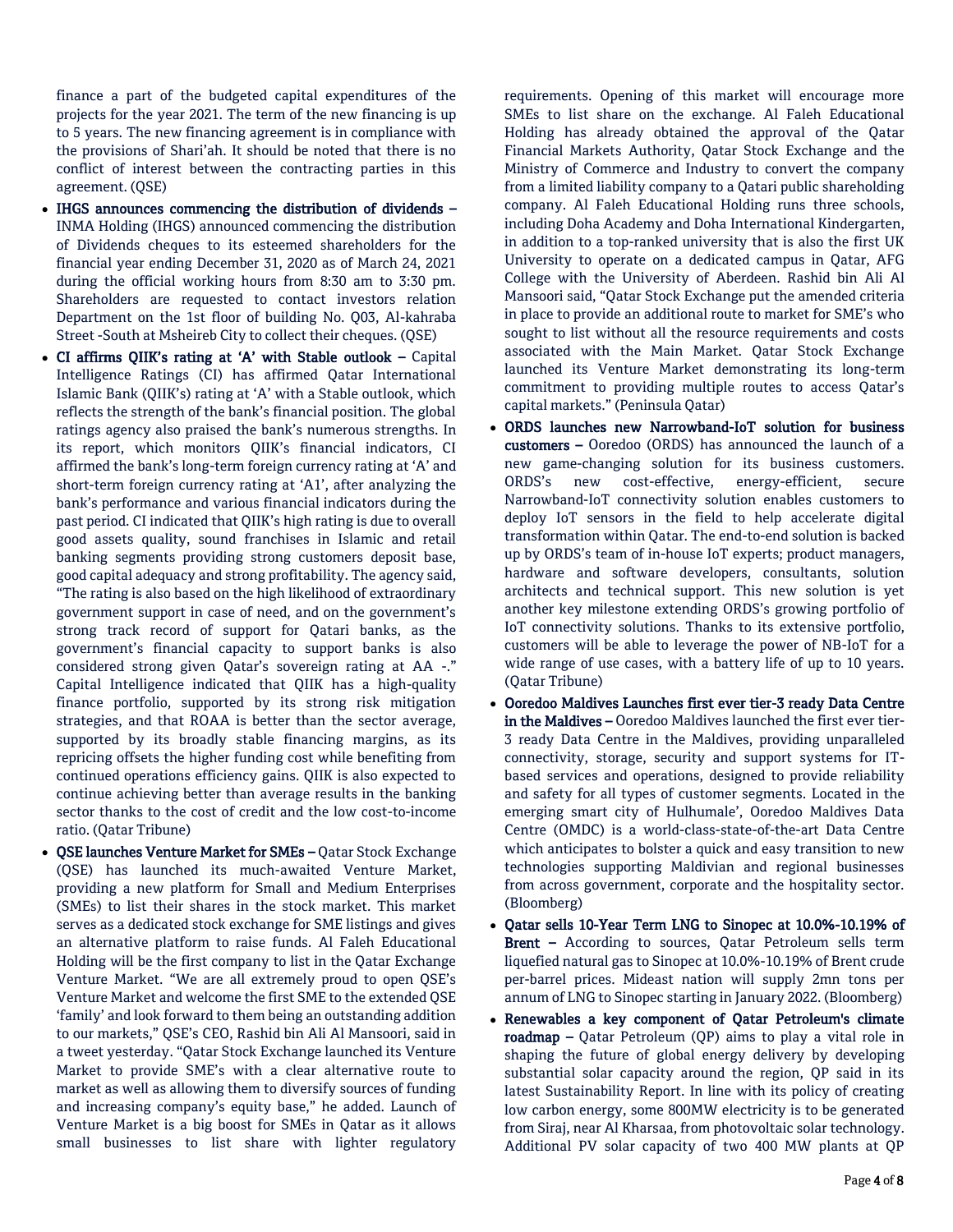finance a part of the budgeted capital expenditures of the projects for the year 2021. The term of the new financing is up to 5 years. The new financing agreement is in compliance with the provisions of Shari'ah. It should be noted that there is no conflict of interest between the contracting parties in this agreement. (QSE)

- IHGS announces commencing the distribution of dividends INMA Holding (IHGS) announced commencing the distribution of Dividends cheques to its esteemed shareholders for the financial year ending December 31, 2020 as of March 24, 2021 during the official working hours from 8:30 am to 3:30 pm. Shareholders are requested to contact investors relation Department on the 1st floor of building No. Q03, Al-kahraba Street -South at Msheireb City to collect their cheques. (QSE)
- CI affirms QIIK's rating at 'A' with Stable outlook Capital Intelligence Ratings (CI) has affirmed Qatar International Islamic Bank (QIIK's) rating at 'A' with a Stable outlook, which reflects the strength of the bank's financial position. The global ratings agency also praised the bank's numerous strengths. In its report, which monitors QIIK's financial indicators, CI affirmed the bank's long-term foreign currency rating at 'A' and short-term foreign currency rating at 'A1', after analyzing the bank's performance and various financial indicators during the past period. CI indicated that QIIK's high rating is due to overall good assets quality, sound franchises in Islamic and retail banking segments providing strong customers deposit base, good capital adequacy and strong profitability. The agency said, "The rating is also based on the high likelihood of extraordinary government support in case of need, and on the government's strong track record of support for Qatari banks, as the government's financial capacity to support banks is also considered strong given Qatar's sovereign rating at AA -." Capital Intelligence indicated that QIIK has a high-quality finance portfolio, supported by its strong risk mitigation strategies, and that ROAA is better than the sector average, supported by its broadly stable financing margins, as its repricing offsets the higher funding cost while benefiting from continued operations efficiency gains. QIIK is also expected to continue achieving better than average results in the banking sector thanks to the cost of credit and the low cost-to-income ratio. (Qatar Tribune)
- QSE launches Venture Market for SMEs Qatar Stock Exchange (QSE) has launched its much-awaited Venture Market, providing a new platform for Small and Medium Enterprises (SMEs) to list their shares in the stock market. This market serves as a dedicated stock exchange for SME listings and gives an alternative platform to raise funds. Al Faleh Educational Holding will be the first company to list in the Qatar Exchange Venture Market. "We are all extremely proud to open QSE's Venture Market and welcome the first SME to the extended QSE 'family' and look forward to them being an outstanding addition to our markets," QSE's CEO, Rashid bin Ali Al Mansoori, said in a tweet yesterday. "Qatar Stock Exchange launched its Venture Market to provide SME's with a clear alternative route to market as well as allowing them to diversify sources of funding and increasing company's equity base," he added. Launch of Venture Market is a big boost for SMEs in Qatar as it allows small businesses to list share with lighter regulatory

requirements. Opening of this market will encourage more SMEs to list share on the exchange. Al Faleh Educational Holding has already obtained the approval of the Qatar Financial Markets Authority, Qatar Stock Exchange and the Ministry of Commerce and Industry to convert the company from a limited liability company to a Qatari public shareholding company. Al Faleh Educational Holding runs three schools, including Doha Academy and Doha International Kindergarten, in addition to a top-ranked university that is also the first UK University to operate on a dedicated campus in Qatar, AFG College with the University of Aberdeen. Rashid bin Ali Al Mansoori said, "Qatar Stock Exchange put the amended criteria in place to provide an additional route to market for SME's who sought to list without all the resource requirements and costs associated with the Main Market. Qatar Stock Exchange launched its Venture Market demonstrating its long-term commitment to providing multiple routes to access Qatar's capital markets." (Peninsula Qatar)

- ORDS launches new Narrowband-IoT solution for business customers – Ooredoo (ORDS) has announced the launch of a new game-changing solution for its business customers. ORDS's new cost-effective, energy-efficient, secure Narrowband-IoT connectivity solution enables customers to deploy IoT sensors in the field to help accelerate digital transformation within Qatar. The end-to-end solution is backed up by ORDS's team of in-house IoT experts; product managers, hardware and software developers, consultants, solution architects and technical support. This new solution is yet another key milestone extending ORDS's growing portfolio of IoT connectivity solutions. Thanks to its extensive portfolio, customers will be able to leverage the power of NB-IoT for a wide range of use cases, with a battery life of up to 10 years. (Qatar Tribune)
- Ooredoo Maldives Launches first ever tier-3 ready Data Centre in the Maldives – Ooredoo Maldives launched the first ever tier-3 ready Data Centre in the Maldives, providing unparalleled connectivity, storage, security and support systems for ITbased services and operations, designed to provide reliability and safety for all types of customer segments. Located in the emerging smart city of Hulhumale', Ooredoo Maldives Data Centre (OMDC) is a world-class-state-of-the-art Data Centre which anticipates to bolster a quick and easy transition to new technologies supporting Maldivian and regional businesses from across government, corporate and the hospitality sector. (Bloomberg)
- Qatar sells 10-Year Term LNG to Sinopec at 10.0%-10.19% of Brent – According to sources, Qatar Petroleum sells term liquefied natural gas to Sinopec at 10.0%-10.19% of Brent crude per-barrel prices. Mideast nation will supply 2mn tons per annum of LNG to Sinopec starting in January 2022. (Bloomberg)
- Renewables a key component of Qatar Petroleum's climate roadmap – Qatar Petroleum (QP) aims to play a vital role in shaping the future of global energy delivery by developing substantial solar capacity around the region, QP said in its latest Sustainability Report. In line with its policy of creating low carbon energy, some 800MW electricity is to be generated from Siraj, near Al Kharsaa, from photovoltaic solar technology. Additional PV solar capacity of two 400 MW plants at QP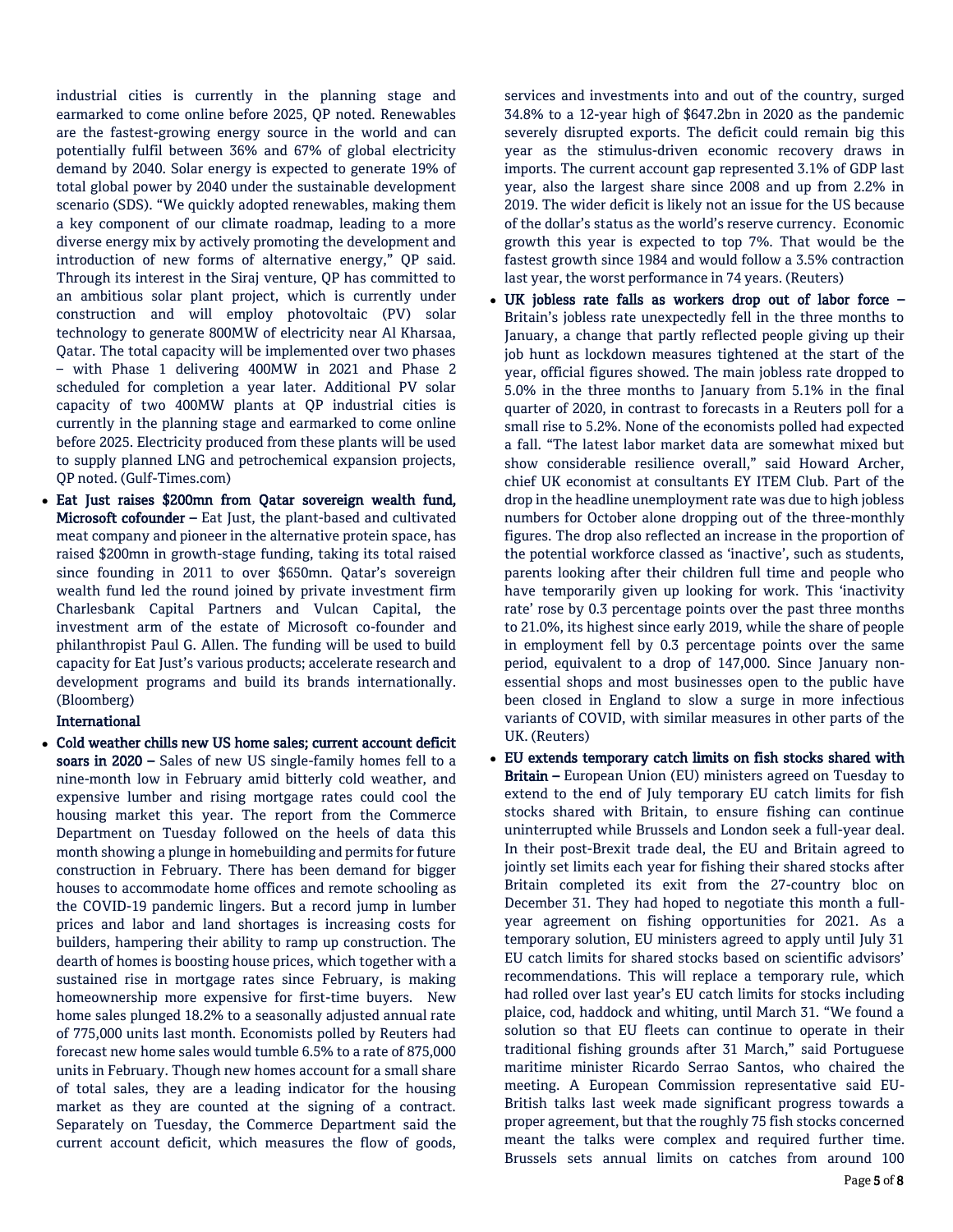industrial cities is currently in the planning stage and earmarked to come online before 2025, QP noted. Renewables are the fastest-growing energy source in the world and can potentially fulfil between 36% and 67% of global electricity demand by 2040. Solar energy is expected to generate 19% of total global power by 2040 under the sustainable development scenario (SDS). "We quickly adopted renewables, making them a key component of our climate roadmap, leading to a more diverse energy mix by actively promoting the development and introduction of new forms of alternative energy," QP said. Through its interest in the Siraj venture, QP has committed to an ambitious solar plant project, which is currently under construction and will employ photovoltaic (PV) solar technology to generate 800MW of electricity near Al Kharsaa, Qatar. The total capacity will be implemented over two phases – with Phase 1 delivering 400MW in 2021 and Phase 2 scheduled for completion a year later. Additional PV solar capacity of two 400MW plants at QP industrial cities is currently in the planning stage and earmarked to come online before 2025. Electricity produced from these plants will be used to supply planned LNG and petrochemical expansion projects, QP noted. (Gulf-Times.com)

 Eat Just raises \$200mn from Qatar sovereign wealth fund, Microsoft cofounder – Eat Just, the plant-based and cultivated meat company and pioneer in the alternative protein space, has raised \$200mn in growth-stage funding, taking its total raised since founding in 2011 to over \$650mn. Qatar's sovereign wealth fund led the round joined by private investment firm Charlesbank Capital Partners and Vulcan Capital, the investment arm of the estate of Microsoft co-founder and philanthropist Paul G. Allen. The funding will be used to build capacity for Eat Just's various products; accelerate research and development programs and build its brands internationally. (Bloomberg)

# International

 Cold weather chills new US home sales; current account deficit soars in 2020 – Sales of new US single-family homes fell to a nine-month low in February amid bitterly cold weather, and expensive lumber and rising mortgage rates could cool the housing market this year. The report from the Commerce Department on Tuesday followed on the heels of data this month showing a plunge in homebuilding and permits for future construction in February. There has been demand for bigger houses to accommodate home offices and remote schooling as the COVID-19 pandemic lingers. But a record jump in lumber prices and labor and land shortages is increasing costs for builders, hampering their ability to ramp up construction. The dearth of homes is boosting house prices, which together with a sustained rise in mortgage rates since February, is making homeownership more expensive for first-time buyers. New home sales plunged 18.2% to a seasonally adjusted annual rate of 775,000 units last month. Economists polled by Reuters had forecast new home sales would tumble 6.5% to a rate of 875,000 units in February. Though new homes account for a small share of total sales, they are a leading indicator for the housing market as they are counted at the signing of a contract. Separately on Tuesday, the Commerce Department said the current account deficit, which measures the flow of goods,

services and investments into and out of the country, surged 34.8% to a 12-year high of \$647.2bn in 2020 as the pandemic severely disrupted exports. The deficit could remain big this year as the stimulus-driven economic recovery draws in imports. The current account gap represented 3.1% of GDP last year, also the largest share since 2008 and up from 2.2% in 2019. The wider deficit is likely not an issue for the US because of the dollar's status as the world's reserve currency. Economic growth this year is expected to top 7%. That would be the fastest growth since 1984 and would follow a 3.5% contraction last year, the worst performance in 74 years. (Reuters)

- UK jobless rate falls as workers drop out of labor force Britain's jobless rate unexpectedly fell in the three months to January, a change that partly reflected people giving up their job hunt as lockdown measures tightened at the start of the year, official figures showed. The main jobless rate dropped to 5.0% in the three months to January from 5.1% in the final quarter of 2020, in contrast to forecasts in a Reuters poll for a small rise to 5.2%. None of the economists polled had expected a fall. "The latest labor market data are somewhat mixed but show considerable resilience overall," said Howard Archer, chief UK economist at consultants EY ITEM Club. Part of the drop in the headline unemployment rate was due to high jobless numbers for October alone dropping out of the three-monthly figures. The drop also reflected an increase in the proportion of the potential workforce classed as 'inactive', such as students, parents looking after their children full time and people who have temporarily given up looking for work. This 'inactivity rate' rose by 0.3 percentage points over the past three months to 21.0%, its highest since early 2019, while the share of people in employment fell by 0.3 percentage points over the same period, equivalent to a drop of 147,000. Since January nonessential shops and most businesses open to the public have been closed in England to slow a surge in more infectious variants of COVID, with similar measures in other parts of the UK. (Reuters)
- EU extends temporary catch limits on fish stocks shared with Britain – European Union (EU) ministers agreed on Tuesday to extend to the end of July temporary EU catch limits for fish stocks shared with Britain, to ensure fishing can continue uninterrupted while Brussels and London seek a full-year deal. In their post-Brexit trade deal, the EU and Britain agreed to jointly set limits each year for fishing their shared stocks after Britain completed its exit from the 27-country bloc on December 31. They had hoped to negotiate this month a fullyear agreement on fishing opportunities for 2021. As a temporary solution, EU ministers agreed to apply until July 31 EU catch limits for shared stocks based on scientific advisors' recommendations. This will replace a temporary rule, which had rolled over last year's EU catch limits for stocks including plaice, cod, haddock and whiting, until March 31. "We found a solution so that EU fleets can continue to operate in their traditional fishing grounds after 31 March," said Portuguese maritime minister Ricardo Serrao Santos, who chaired the meeting. A European Commission representative said EU-British talks last week made significant progress towards a proper agreement, but that the roughly 75 fish stocks concerned meant the talks were complex and required further time. Brussels sets annual limits on catches from around 100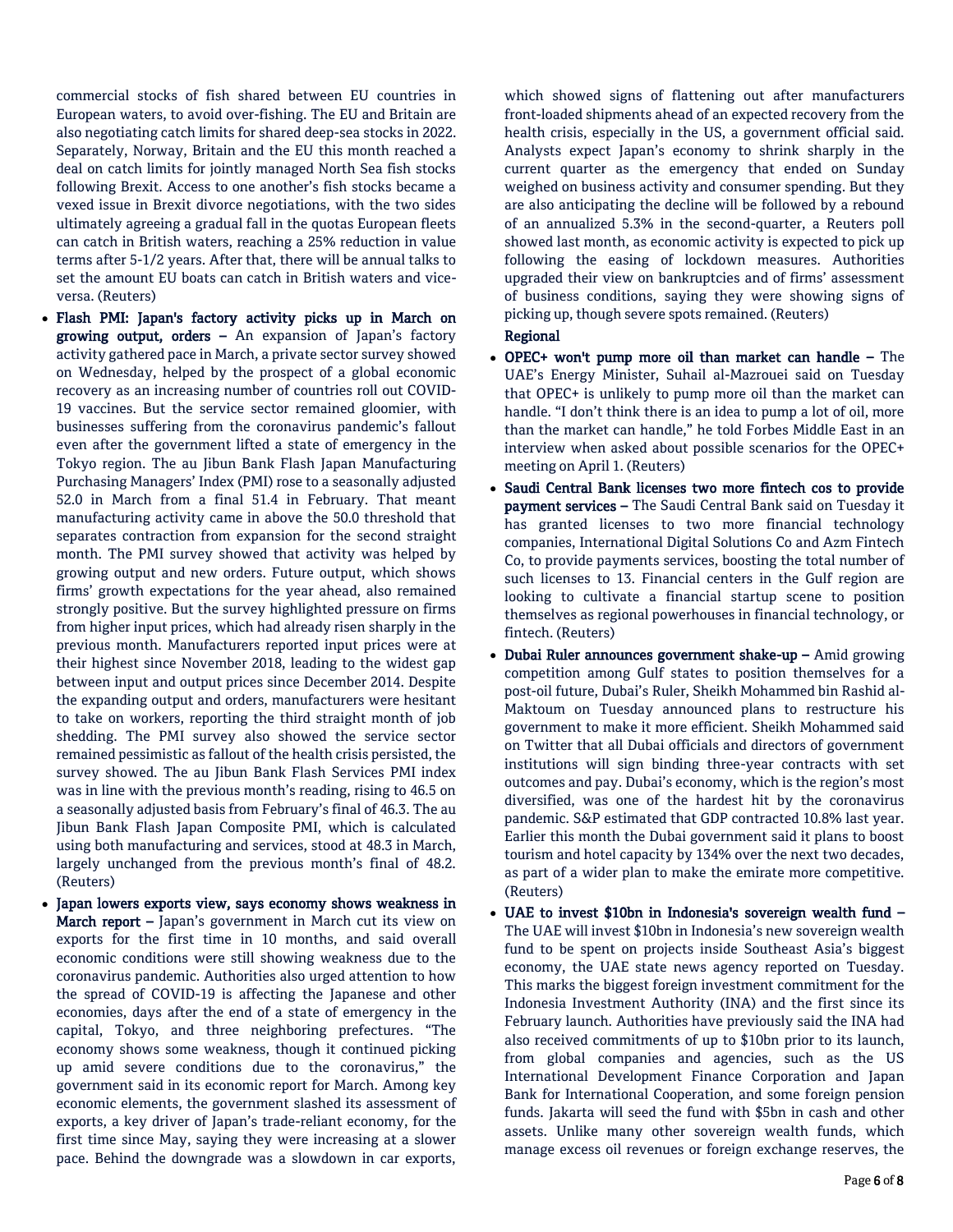commercial stocks of fish shared between EU countries in European waters, to avoid over-fishing. The EU and Britain are also negotiating catch limits for shared deep-sea stocks in 2022. Separately, Norway, Britain and the EU this month reached a deal on catch limits for jointly managed North Sea fish stocks following Brexit. Access to one another's fish stocks became a vexed issue in Brexit divorce negotiations, with the two sides ultimately agreeing a gradual fall in the quotas European fleets can catch in British waters, reaching a 25% reduction in value terms after 5-1/2 years. After that, there will be annual talks to set the amount EU boats can catch in British waters and viceversa. (Reuters)

- Flash PMI: Japan's factory activity picks up in March on growing output, orders – An expansion of Japan's factory activity gathered pace in March, a private sector survey showed on Wednesday, helped by the prospect of a global economic recovery as an increasing number of countries roll out COVID-19 vaccines. But the service sector remained gloomier, with businesses suffering from the coronavirus pandemic's fallout even after the government lifted a state of emergency in the Tokyo region. The au Jibun Bank Flash Japan Manufacturing Purchasing Managers' Index (PMI) rose to a seasonally adjusted 52.0 in March from a final 51.4 in February. That meant manufacturing activity came in above the 50.0 threshold that separates contraction from expansion for the second straight month. The PMI survey showed that activity was helped by growing output and new orders. Future output, which shows firms' growth expectations for the year ahead, also remained strongly positive. But the survey highlighted pressure on firms from higher input prices, which had already risen sharply in the previous month. Manufacturers reported input prices were at their highest since November 2018, leading to the widest gap between input and output prices since December 2014. Despite the expanding output and orders, manufacturers were hesitant to take on workers, reporting the third straight month of job shedding. The PMI survey also showed the service sector remained pessimistic as fallout of the health crisis persisted, the survey showed. The au Jibun Bank Flash Services PMI index was in line with the previous month's reading, rising to 46.5 on a seasonally adjusted basis from February's final of 46.3. The au Jibun Bank Flash Japan Composite PMI, which is calculated using both manufacturing and services, stood at 48.3 in March, largely unchanged from the previous month's final of 48.2. (Reuters)
- Japan lowers exports view, says economy shows weakness in March report – Japan's government in March cut its view on exports for the first time in 10 months, and said overall economic conditions were still showing weakness due to the coronavirus pandemic. Authorities also urged attention to how the spread of COVID-19 is affecting the Japanese and other economies, days after the end of a state of emergency in the capital, Tokyo, and three neighboring prefectures. "The economy shows some weakness, though it continued picking up amid severe conditions due to the coronavirus," the government said in its economic report for March. Among key economic elements, the government slashed its assessment of exports, a key driver of Japan's trade-reliant economy, for the first time since May, saying they were increasing at a slower pace. Behind the downgrade was a slowdown in car exports,

which showed signs of flattening out after manufacturers front-loaded shipments ahead of an expected recovery from the health crisis, especially in the US, a government official said. Analysts expect Japan's economy to shrink sharply in the current quarter as the emergency that ended on Sunday weighed on business activity and consumer spending. But they are also anticipating the decline will be followed by a rebound of an annualized 5.3% in the second-quarter, a Reuters poll showed last month, as economic activity is expected to pick up following the easing of lockdown measures. Authorities upgraded their view on bankruptcies and of firms' assessment of business conditions, saying they were showing signs of picking up, though severe spots remained. (Reuters) Regional

- OPEC+ won't pump more oil than market can handle The UAE's Energy Minister, Suhail al-Mazrouei said on Tuesday that OPEC+ is unlikely to pump more oil than the market can handle. "I don't think there is an idea to pump a lot of oil, more than the market can handle," he told Forbes Middle East in an interview when asked about possible scenarios for the OPEC+ meeting on April 1. (Reuters)
- Saudi Central Bank licenses two more fintech cos to provide payment services - The Saudi Central Bank said on Tuesday it has granted licenses to two more financial technology companies, International Digital Solutions Co and Azm Fintech Co, to provide payments services, boosting the total number of such licenses to 13. Financial centers in the Gulf region are looking to cultivate a financial startup scene to position themselves as regional powerhouses in financial technology, or fintech. (Reuters)
- Dubai Ruler announces government shake-up Amid growing competition among Gulf states to position themselves for a post-oil future, Dubai's Ruler, Sheikh Mohammed bin Rashid al-Maktoum on Tuesday announced plans to restructure his government to make it more efficient. Sheikh Mohammed said on Twitter that all Dubai officials and directors of government institutions will sign binding three-year contracts with set outcomes and pay. Dubai's economy, which is the region's most diversified, was one of the hardest hit by the coronavirus pandemic. S&P estimated that GDP contracted 10.8% last year. Earlier this month the Dubai government said it plans to boost tourism and hotel capacity by 134% over the next two decades, as part of a wider plan to make the emirate more competitive. (Reuters)
- UAE to invest \$10bn in Indonesia's sovereign wealth fund The UAE will invest \$10bn in Indonesia's new sovereign wealth fund to be spent on projects inside Southeast Asia's biggest economy, the UAE state news agency reported on Tuesday. This marks the biggest foreign investment commitment for the Indonesia Investment Authority (INA) and the first since its February launch. Authorities have previously said the INA had also received commitments of up to \$10bn prior to its launch, from global companies and agencies, such as the US International Development Finance Corporation and Japan Bank for International Cooperation, and some foreign pension funds. Jakarta will seed the fund with \$5bn in cash and other assets. Unlike many other sovereign wealth funds, which manage excess oil revenues or foreign exchange reserves, the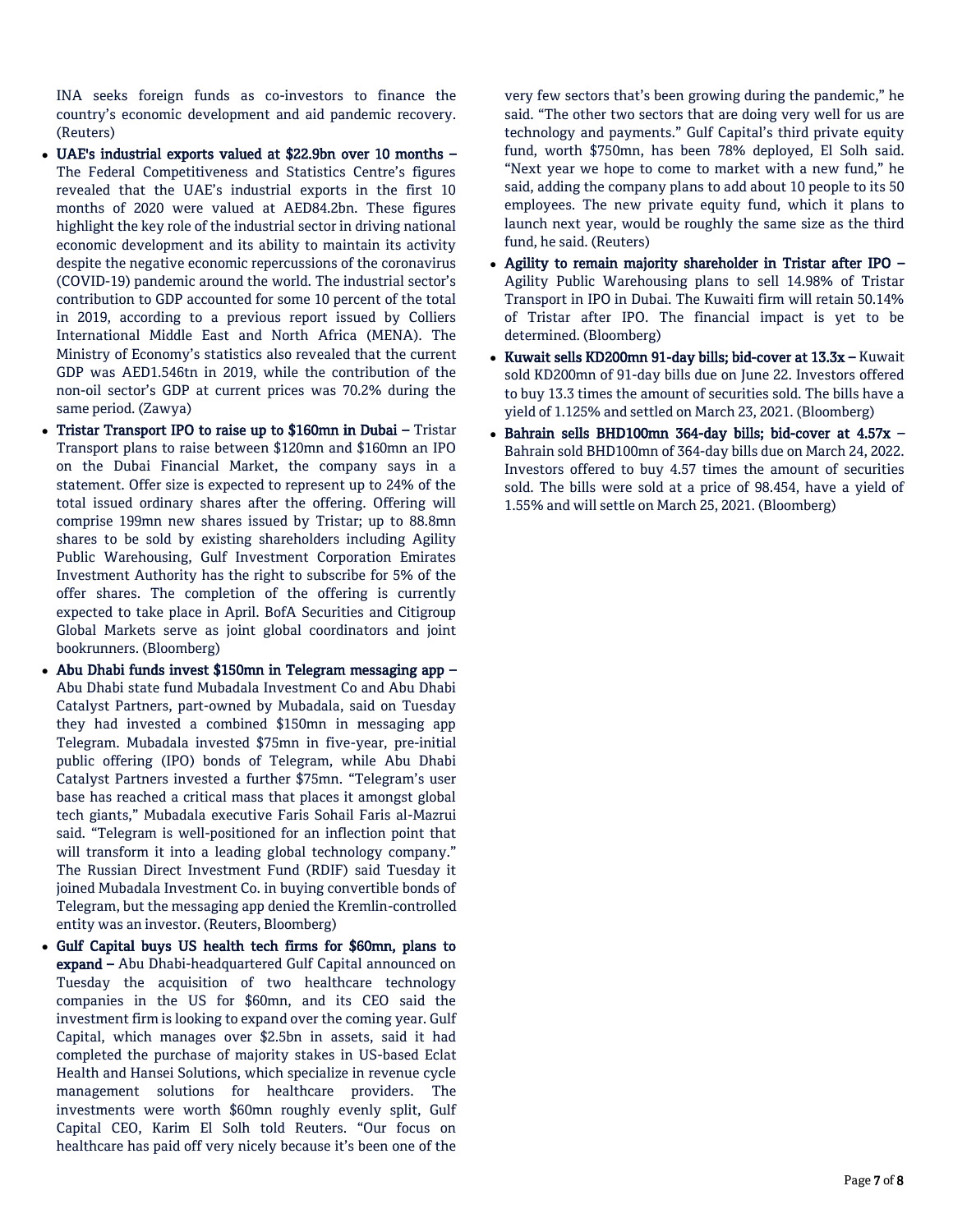INA seeks foreign funds as co-investors to finance the country's economic development and aid pandemic recovery. (Reuters)

- UAE's industrial exports valued at \$22.9bn over 10 months The Federal Competitiveness and Statistics Centre's figures revealed that the UAE's industrial exports in the first 10 months of 2020 were valued at AED84.2bn. These figures highlight the key role of the industrial sector in driving national economic development and its ability to maintain its activity despite the negative economic repercussions of the coronavirus (COVID-19) pandemic around the world. The industrial sector's contribution to GDP accounted for some 10 percent of the total in 2019, according to a previous report issued by Colliers International Middle East and North Africa (MENA). The Ministry of Economy's statistics also revealed that the current GDP was AED1.546tn in 2019, while the contribution of the non-oil sector's GDP at current prices was 70.2% during the same period. (Zawya)
- Tristar Transport IPO to raise up to \$160mn in Dubai Tristar Transport plans to raise between \$120mn and \$160mn an IPO on the Dubai Financial Market, the company says in a statement. Offer size is expected to represent up to 24% of the total issued ordinary shares after the offering. Offering will comprise 199mn new shares issued by Tristar; up to 88.8mn shares to be sold by existing shareholders including Agility Public Warehousing, Gulf Investment Corporation Emirates Investment Authority has the right to subscribe for 5% of the offer shares. The completion of the offering is currently expected to take place in April. BofA Securities and Citigroup Global Markets serve as joint global coordinators and joint bookrunners. (Bloomberg)
- Abu Dhabi funds invest \$150mn in Telegram messaging app Abu Dhabi state fund Mubadala Investment Co and Abu Dhabi Catalyst Partners, part-owned by Mubadala, said on Tuesday they had invested a combined \$150mn in messaging app Telegram. Mubadala invested \$75mn in five-year, pre-initial public offering (IPO) bonds of Telegram, while Abu Dhabi Catalyst Partners invested a further \$75mn. "Telegram's user base has reached a critical mass that places it amongst global tech giants," Mubadala executive Faris Sohail Faris al-Mazrui said. "Telegram is well-positioned for an inflection point that will transform it into a leading global technology company." The Russian Direct Investment Fund (RDIF) said Tuesday it joined Mubadala Investment Co. in buying convertible bonds of Telegram, but the messaging app denied the Kremlin-controlled entity was an investor. (Reuters, Bloomberg)
- Gulf Capital buys US health tech firms for \$60mn, plans to expand – Abu Dhabi-headquartered Gulf Capital announced on Tuesday the acquisition of two healthcare technology companies in the US for \$60mn, and its CEO said the investment firm is looking to expand over the coming year. Gulf Capital, which manages over \$2.5bn in assets, said it had completed the purchase of majority stakes in US-based Eclat Health and Hansei Solutions, which specialize in revenue cycle management solutions for healthcare providers. The investments were worth \$60mn roughly evenly split, Gulf Capital CEO, Karim El Solh told Reuters. "Our focus on healthcare has paid off very nicely because it's been one of the

very few sectors that's been growing during the pandemic," he said. "The other two sectors that are doing very well for us are technology and payments." Gulf Capital's third private equity fund, worth \$750mn, has been 78% deployed, El Solh said. "Next year we hope to come to market with a new fund," he said, adding the company plans to add about 10 people to its 50 employees. The new private equity fund, which it plans to launch next year, would be roughly the same size as the third fund, he said. (Reuters)

- Agility to remain majority shareholder in Tristar after IPO Agility Public Warehousing plans to sell 14.98% of Tristar Transport in IPO in Dubai. The Kuwaiti firm will retain 50.14% of Tristar after IPO. The financial impact is yet to be determined. (Bloomberg)
- Kuwait sells KD200mn 91-day bills; bid-cover at 13.3x Kuwait sold KD200mn of 91-day bills due on June 22. Investors offered to buy 13.3 times the amount of securities sold. The bills have a yield of 1.125% and settled on March 23, 2021. (Bloomberg)
- Bahrain sells BHD100mn 364-day bills; bid-cover at  $4.57x -$ Bahrain sold BHD100mn of 364-day bills due on March 24, 2022. Investors offered to buy 4.57 times the amount of securities sold. The bills were sold at a price of 98.454, have a yield of 1.55% and will settle on March 25, 2021. (Bloomberg)